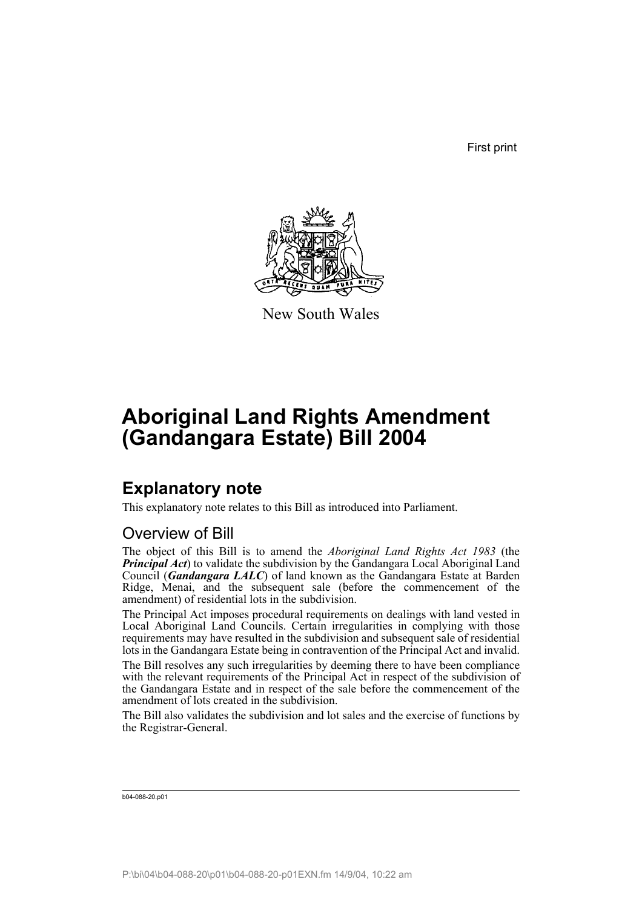First print



New South Wales

# **Aboriginal Land Rights Amendment (Gandangara Estate) Bill 2004**

## **Explanatory note**

This explanatory note relates to this Bill as introduced into Parliament.

## Overview of Bill

The object of this Bill is to amend the *Aboriginal Land Rights Act 1983* (the *Principal Act*) to validate the subdivision by the Gandangara Local Aboriginal Land Council (*Gandangara LALC*) of land known as the Gandangara Estate at Barden Ridge, Menai, and the subsequent sale (before the commencement of the amendment) of residential lots in the subdivision.

The Principal Act imposes procedural requirements on dealings with land vested in Local Aboriginal Land Councils. Certain irregularities in complying with those requirements may have resulted in the subdivision and subsequent sale of residential lots in the Gandangara Estate being in contravention of the Principal Act and invalid.

The Bill resolves any such irregularities by deeming there to have been compliance with the relevant requirements of the Principal Act in respect of the subdivision of the Gandangara Estate and in respect of the sale before the commencement of the amendment of lots created in the subdivision.

The Bill also validates the subdivision and lot sales and the exercise of functions by the Registrar-General.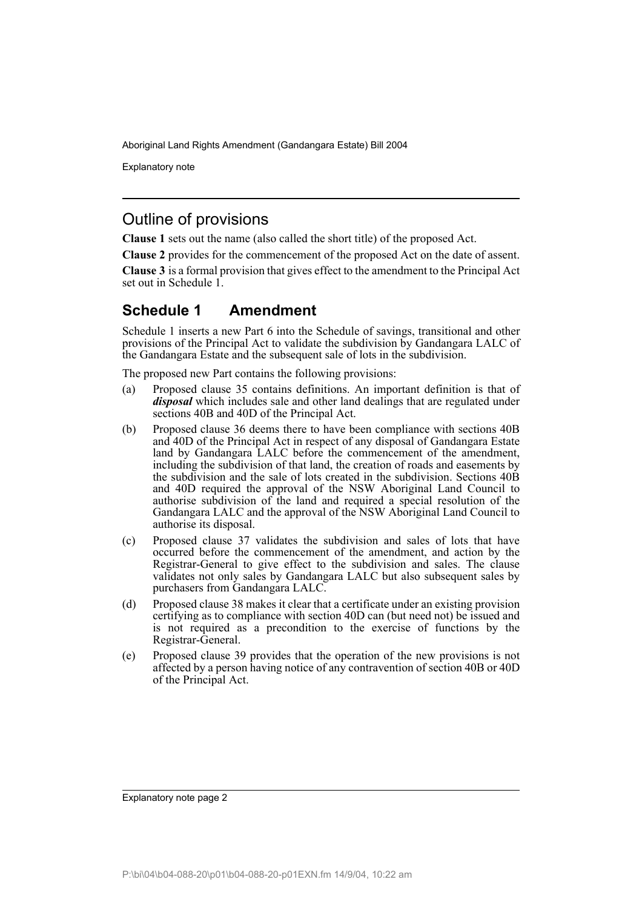Aboriginal Land Rights Amendment (Gandangara Estate) Bill 2004

Explanatory note

### Outline of provisions

**Clause 1** sets out the name (also called the short title) of the proposed Act.

**Clause 2** provides for the commencement of the proposed Act on the date of assent.

**Clause 3** is a formal provision that gives effect to the amendment to the Principal Act set out in Schedule 1.

### **Schedule 1 Amendment**

Schedule 1 inserts a new Part 6 into the Schedule of savings, transitional and other provisions of the Principal Act to validate the subdivision by Gandangara LALC of the Gandangara Estate and the subsequent sale of lots in the subdivision.

The proposed new Part contains the following provisions:

- (a) Proposed clause 35 contains definitions. An important definition is that of *disposal* which includes sale and other land dealings that are regulated under sections 40B and 40D of the Principal Act.
- (b) Proposed clause 36 deems there to have been compliance with sections 40B and 40D of the Principal Act in respect of any disposal of Gandangara Estate land by Gandangara LALC before the commencement of the amendment, including the subdivision of that land, the creation of roads and easements by the subdivision and the sale of lots created in the subdivision. Sections 40B and 40D required the approval of the NSW Aboriginal Land Council to authorise subdivision of the land and required a special resolution of the Gandangara LALC and the approval of the NSW Aboriginal Land Council to authorise its disposal.
- (c) Proposed clause 37 validates the subdivision and sales of lots that have occurred before the commencement of the amendment, and action by the Registrar-General to give effect to the subdivision and sales. The clause validates not only sales by Gandangara LALC but also subsequent sales by purchasers from Gandangara LALC.
- (d) Proposed clause 38 makes it clear that a certificate under an existing provision certifying as to compliance with section 40D can (but need not) be issued and is not required as a precondition to the exercise of functions by the Registrar-General.
- (e) Proposed clause 39 provides that the operation of the new provisions is not affected by a person having notice of any contravention of section 40B or 40D of the Principal Act.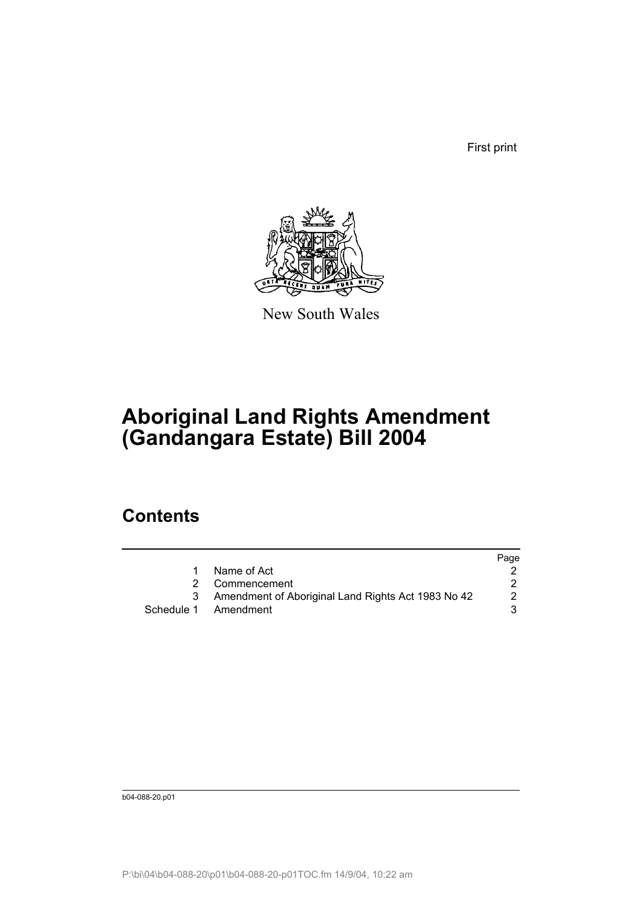First print



New South Wales

# **Aboriginal Land Rights Amendment (Gandangara Estate) Bill 2004**

## **Contents**

|                                                    | Page |
|----------------------------------------------------|------|
| Name of Act                                        |      |
| 2 Commencement                                     |      |
| Amendment of Aboriginal Land Rights Act 1983 No 42 |      |
| Schedule 1 Amendment                               |      |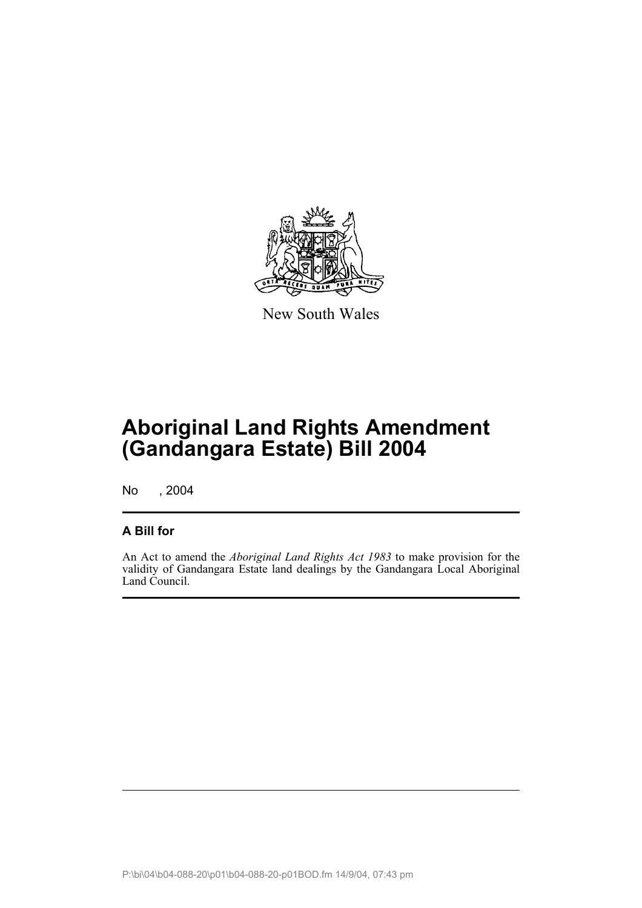

New South Wales

## **Aboriginal Land Rights Amendment (Gandangara Estate) Bill 2004**

No , 2004

### **A Bill for**

An Act to amend the *Aboriginal Land Rights Act 1983* to make provision for the validity of Gandangara Estate land dealings by the Gandangara Local Aboriginal Land Council.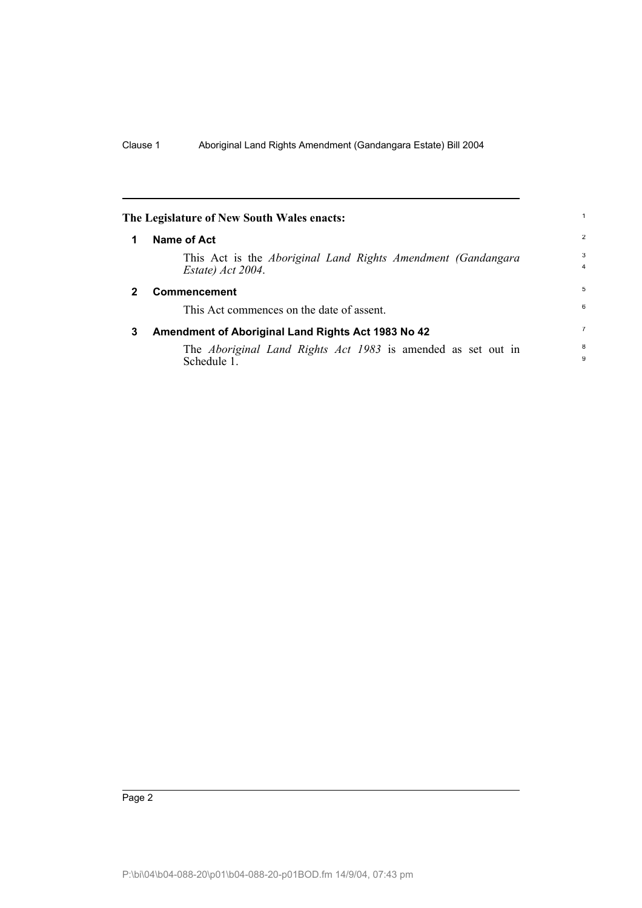<span id="page-5-2"></span><span id="page-5-1"></span><span id="page-5-0"></span>

|              | The Legislature of New South Wales enacts:                                                 |                |
|--------------|--------------------------------------------------------------------------------------------|----------------|
| 1            | Name of Act                                                                                | $\overline{2}$ |
|              | This Act is the <i>Aboriginal Land Rights Amendment (Gandangara</i> )<br>Estate) Act 2004. | 3<br>4         |
| $\mathbf{2}$ | <b>Commencement</b>                                                                        | 5              |
|              | This Act commences on the date of assent.                                                  | 6              |
| 3            | Amendment of Aboriginal Land Rights Act 1983 No 42                                         |                |
|              | The <i>Aboriginal Land Rights Act 1983</i> is amended as set out in<br>Schedule 1.         | 8<br>9         |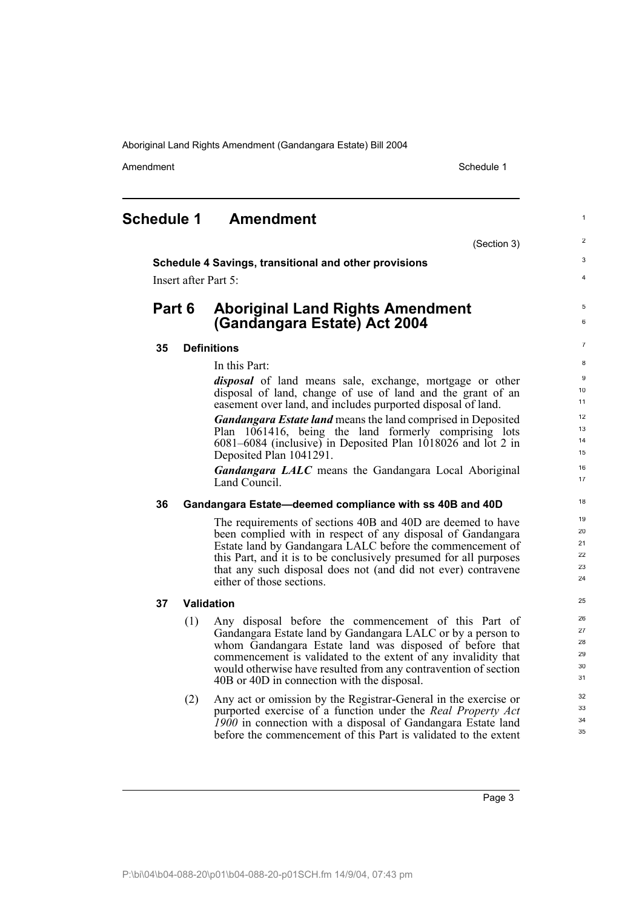Aboriginal Land Rights Amendment (Gandangara Estate) Bill 2004

Amendment **Amendment** Schedule 1

<span id="page-6-0"></span>

| <b>Schedule 1</b> | <b>Amendment</b> |
|-------------------|------------------|
|                   |                  |

(Section 3)

1

2 3 4

5 6

#### **Schedule 4 Savings, transitional and other provisions**

Insert after Part 5:

### **Part 6 Aboriginal Land Rights Amendment (Gandangara Estate) Act 2004**

#### **35 Definitions**

In this Part:

*disposal* of land means sale, exchange, mortgage or other disposal of land, change of use of land and the grant of an easement over land, and includes purported disposal of land.

*Gandangara Estate land* means the land comprised in Deposited Plan 1061416, being the land formerly comprising lots 6081–6084 (inclusive) in Deposited Plan 1018026 and lot 2 in Deposited Plan 1041291.

*Gandangara LALC* means the Gandangara Local Aboriginal Land Council.

#### **36 Gandangara Estate—deemed compliance with ss 40B and 40D**

The requirements of sections 40B and 40D are deemed to have been complied with in respect of any disposal of Gandangara Estate land by Gandangara LALC before the commencement of this Part, and it is to be conclusively presumed for all purposes that any such disposal does not (and did not ever) contravene either of those sections.

#### **37 Validation**

- (1) Any disposal before the commencement of this Part of Gandangara Estate land by Gandangara LALC or by a person to whom Gandangara Estate land was disposed of before that commencement is validated to the extent of any invalidity that would otherwise have resulted from any contravention of section 40B or 40D in connection with the disposal.
- (2) Any act or omission by the Registrar-General in the exercise or purported exercise of a function under the *Real Property Act 1900* in connection with a disposal of Gandangara Estate land before the commencement of this Part is validated to the extent